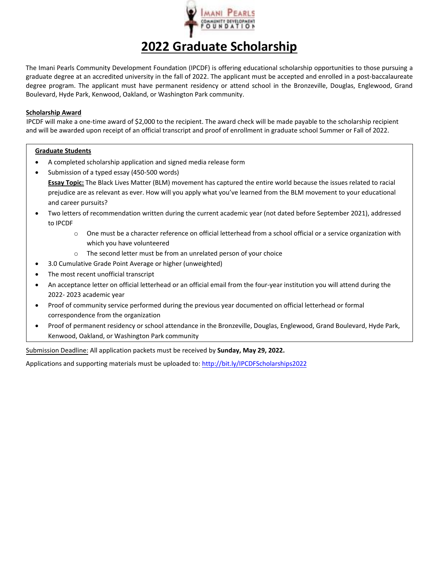

## **2022 Graduate Scholarship**

The Imani Pearls Community Development Foundation (IPCDF) is offering educational scholarship opportunities to those pursuing a graduate degree at an accredited university in the fall of 2022. The applicant must be accepted and enrolled in a post-baccalaureate degree program. The applicant must have permanent residency or attend school in the Bronzeville, Douglas, Englewood, Grand Boulevard, Hyde Park, Kenwood, Oakland, or Washington Park community.

## **Scholarship Award**

IPCDF will make a one-time award of \$2,000 to the recipient. The award check will be made payable to the scholarship recipient and will be awarded upon receipt of an official transcript and proof of enrollment in graduate school Summer or Fall of 2022.

## **Graduate Students**

- A completed scholarship application and signed media release form
- Submission of a typed essay (450-500 words) **Essay Topic:** The Black Lives Matter (BLM) movement has captured the entire world because the issues related to racial prejudice are as relevant as ever. How will you apply what you've learned from the BLM movement to your educational and career pursuits?
- Two letters of recommendation written during the current academic year (not dated before September 2021), addressed to IPCDF
	- o One must be a character reference on official letterhead from a school official or a service organization with which you have volunteered
	- o The second letter must be from an unrelated person of your choice
- 3.0 Cumulative Grade Point Average or higher (unweighted)
- The most recent unofficial transcript
- An acceptance letter on official letterhead or an official email from the four‐year institution you will attend during the 2022‐ 2023 academic year
- Proof of community service performed during the previous year documented on official letterhead or formal correspondence from the organization
- Proof of permanent residency or school attendance in the Bronzeville, Douglas, Englewood, Grand Boulevard, Hyde Park, Kenwood, Oakland, or Washington Park community

Submission Deadline: All application packets must be received by **Sunday, May 29, 2022.** 

Applications and supporting materials must be uploaded to: http://bit.ly/IPCDFScholarships2022